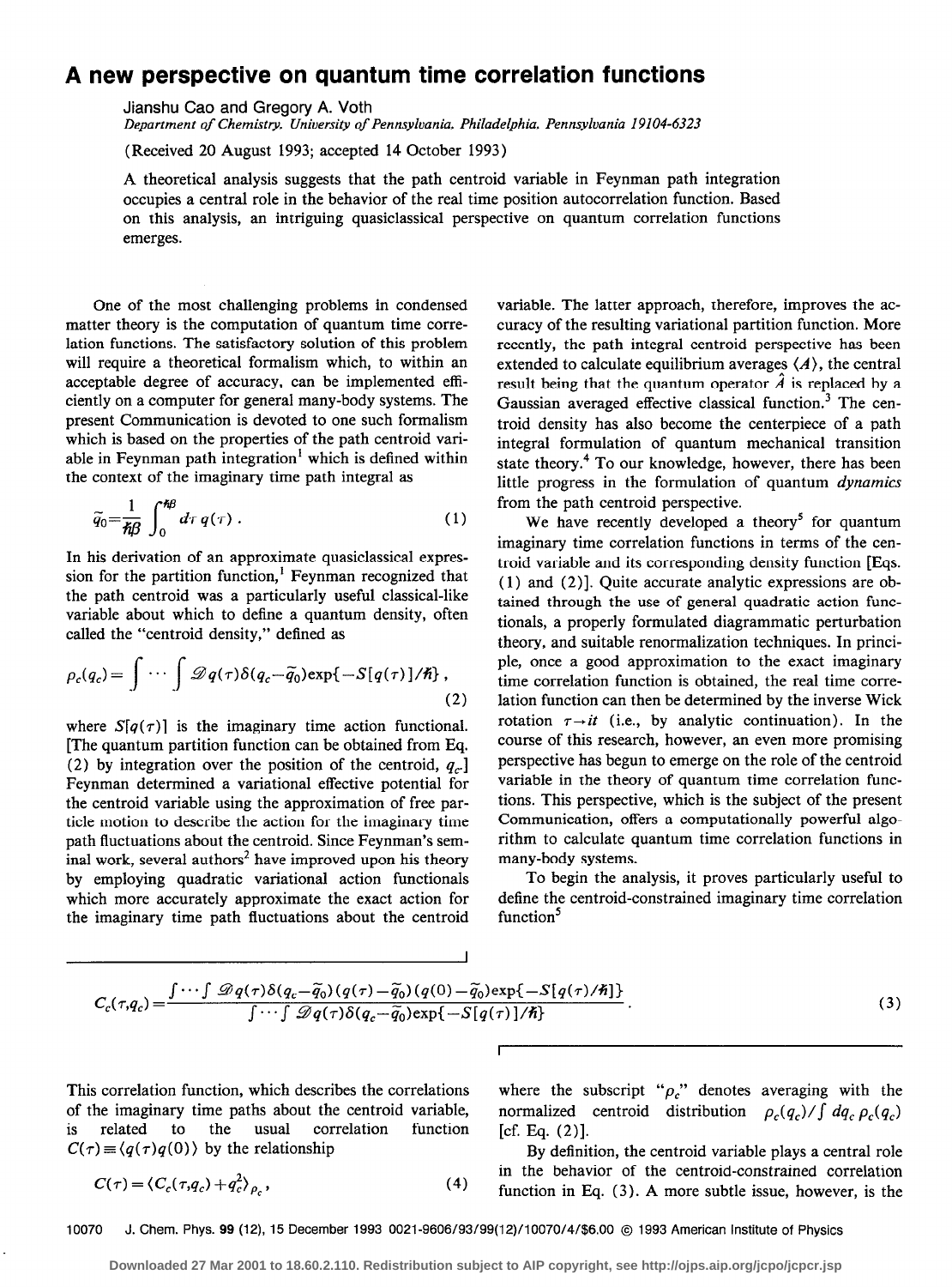## A new perspective on quantum time correlation functions

Jianshu Cao and Gregory A. Voth

Department of Chemistry. University of Pennsylvania, Philadelphia, Pennsylvania 19104-6323

(Received 20 August 1993; accepted 14 October 1993)

A theoretical analysis suggests that the path centroid variable in Feynman path integration occupies a central role in the behavior of the real time position autocorrelation function. Based on this analysis, an intriguing quasiclassical perspective on quantum correlation functions emerges.

One of the most challenging problems in condensed matter theory is the computation of quantum time correlation functions. The satisfactory solution of this problem will require a theoretical formalism which, to within an acceptable degree of accuracy, can be implemented efficiently on a computer for general many-body systems. The present Communication is devoted to one such formalism which is based on the properties of the path centroid variable in Feynman path integration<sup>1</sup> which is defined within the context of the imaginary time path integral as

$$
\widetilde{q}_0 = \frac{1}{\hbar \beta} \int_0^{\hbar \beta} d\tau \, q(\tau) \,. \tag{1}
$$

In his derivation of an approximate quasiclassical expression for the partition function,' Feynman recognized that the path centroid was a particularly useful classical-like variable about which to define a quantum density, often called the "centroid density," defined as

$$
\rho_c(q_c) = \int \cdots \int \mathcal{D}q(\tau)\delta(q_c - \widetilde{q}_0) \exp\{-S[q(\tau)]/\hbar\},\tag{2}
$$

where  $S[q(\tau)]$  is the imaginary time action functional. [The quantum partition function can be obtained from Eq. (2) by integration over the position of the centroid,  $q_c$ ] Feynman determined a variational effective potential for the centroid variable using the approximation of free particle motion to describe the action for the imaginary time path fluctuations about the centroid. Since Feynman's seminal work, several authors<sup>2</sup> have improved upon his theory by employing quadratic variational action functionals which more accurately approximate the exact action for the imaginary time path fluctuations about the centroid variable. The latter approach, therefore, improves the accuracy of the resulting variational partition function. More recently, the path integral centroid perspective has been extended to calculate equilibrium averages  $\langle A \rangle$ , the central result being that the quantum operator  $\hat{A}$  is replaced by a Gaussian averaged effective classical function.<sup>3</sup> The centroid density has also become the centerpiece of a path integral formulation of quantum mechanical transition state theory.<sup>4</sup> To our knowledge, however, there has been little progress in the formulation of quantum dynamics from the path centroid perspective.

We have recently developed a theory<sup>5</sup> for quantum imaginary time correlation functions in terms of the centroid variable and its corresponding density function [Eqs. ( 1) and (2)]. Quite accurate analytic expressions are obtained through the use of general quadratic action functionals, a properly formulated diagrammatic perturbation theory, and suitable renormalization techniques. In principle, once a good approximation to the exact imaginary time correlation function is obtained, the real time correlation function can then be determined by the inverse Wick rotation  $\tau \rightarrow it$  (i.e., by analytic continuation). In the course of this research, however, an even more promising perspective has begun to emerge on the role of the centroid variable in the theory of quantum time correlation functions. This perspective, which is the subject of the present Communication, offers a computationally powerful algorithm to calculate quantum time correlation functions in many-body systems.

To begin the analysis, it proves particularly useful to define the centroid-constrained imaginary time correlation function'

$$
C_c(\tau, q_c) = \frac{\int \cdots \int \mathcal{D}q(\tau)\delta(q_c - \widetilde{q}_0)(q(\tau) - \widetilde{q}_0)(q(0) - \widetilde{q}_0)\exp\{-S[q(\tau)/\hbar]\}}{\int \cdots \int \mathcal{D}q(\tau)\delta(q_c - \widetilde{q}_0)\exp\{-S[q(\tau)]/\hbar\}}.
$$
\n(3)

I

is related to the usual correlation function [cf. Eq. (2)].  $C(\tau) \equiv \langle q(\tau)q(0) \rangle$  by the relationship By definition, the centroid variable plays a central role

$$
C(\tau) = \langle C_c(\tau, q_c) + q_c^2 \rangle_{\rho_c},\tag{4}
$$

This correlation function, which describes the correlations where the subscript " $\rho_c$ " denotes averaging with the of the imaginary time paths about the centroid variable, normalized centroid distribution  $\rho_c(q_c)/\int dq_c \rho_c(q_c)$ 

> in the behavior of the centroid-constrained correlation  $(4)$  function in Eq. (3). A more subtle issue, however, is the

10070 J. Chem. Phys. 99 (12), 15 December 1993 0021-9606/93/99(12)/10070/4/\$6.00 @ 1993 American Institute of Physics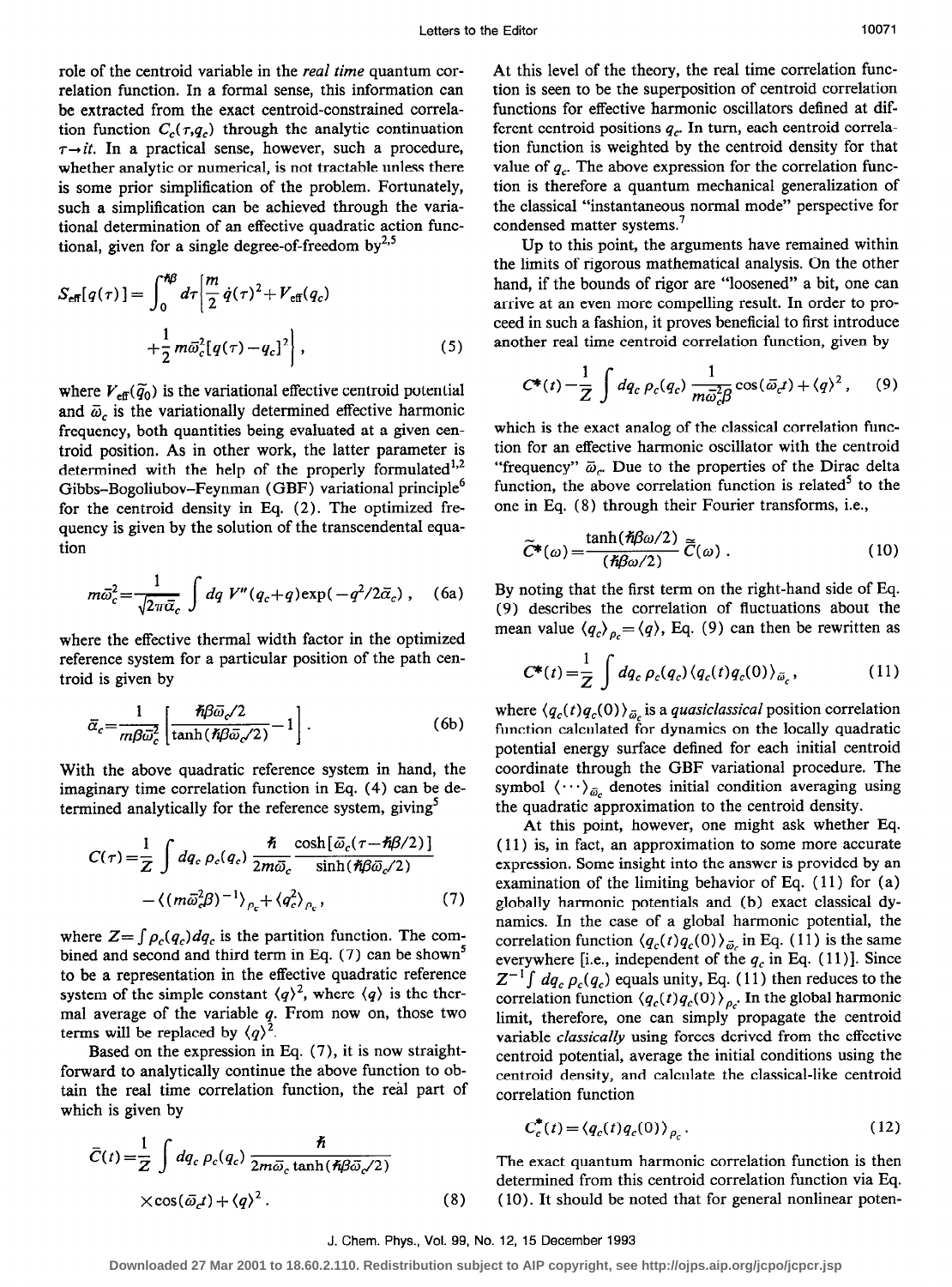role of the centroid variable in the real time quantum correlation function. In a formal sense, this information can be extracted from the exact centroid-constrained correlation function  $C_c(\tau,q_c)$  through the analytic continuation  $\tau \rightarrow it$ . In a practical sense, however, such a procedure, whether analytic or numerical, is not tractable unless there is some prior simplification of the problem. Fortunately, such a simplification can be achieved through the variational determination of an effective quadratic action functional, given for a single degree-of-freedom by $^{2,5}$ 

$$
S_{\text{eff}}[q(\tau)] = \int_0^{\pi \beta} d\tau \left[ \frac{m}{2} \dot{q}(\tau)^2 + V_{\text{eff}}(q_c) + \frac{1}{2} m \bar{\omega}_c^2 [q(\tau) - q_c]^2 \right],
$$
 (5)

where  $V_{\text{eff}}(\tilde{q}_0)$  is the variational effective centroid potential and  $\bar{\omega}_c$  is the variationally determined effective harmonic frequency, both quantities being evaluated at a given centroid position. As in other work, the latter parameter is determined with the help of the properly formulated<sup>1,2</sup> Gibbs-Bogoliubov-Feynman (GBF) variational principle<sup>6</sup> for the centroid density in Eq. (2). The optimized frequency is given by the solution of the transcendental equation

$$
m\bar{\omega}_c^2 = \frac{1}{\sqrt{2\pi\bar{\alpha}_c}} \int dq \ V''(q_c+q) \exp(-q^2/2\bar{\alpha}_c) \ , \quad \text{(6a)}
$$

where the effective thermal width factor in the optimized reference system for a particular position of the path centroid is given by

$$
\bar{\alpha}_c = \frac{1}{m\beta\bar{\omega}_c^2} \left[ \frac{\hbar\beta\bar{\omega}_c/2}{\tanh(\hbar\beta\bar{\omega}_c/2)} - 1 \right].
$$
 (6b)

With the above quadratic reference system in hand, the imaginary time correlation function in Eq. (4) can be determined analytically for the reference system, giving<sup>5</sup>

$$
C(\tau) = \frac{1}{Z} \int dq_c \, \rho_c(q_c) \, \frac{\hbar}{2m\bar{\omega}_c} \frac{\cosh[\bar{\omega}_c(\tau - \hbar \beta/2)]}{\sinh(\hbar \beta \bar{\omega}_c/2)} - \langle (m\bar{\omega}_c^2 \beta)^{-1} \rangle_{\rho_c} + \langle q_c^2 \rangle_{\rho_c}, \tag{7}
$$

where  $Z = \int \rho_c(q_c) dq_c$  is the partition function. The combined and second and third term in Eq.  $(7)$  can be shown<sup>3</sup> to be a representation in the effective quadratic reference system of the simple constant  $\langle q \rangle^2$ , where  $\langle q \rangle$  is the thermal average of the variable  $q$ . From now on, those two terms will be replaced by  $\langle q \rangle^2$ 

Based on the expression in Eq. (7), it is now straightforward to analytically continue the above function to obtain the real time correlation function, the real part of

which is given by  
\n
$$
\overline{C}(t) = \frac{1}{Z} \int dq_c \rho_c(q_c) \frac{\hbar}{2m\overline{\omega}_c \tanh(\hbar\beta \overline{\omega}_c/2)}
$$
\n
$$
\times \cos(\overline{\omega}_c t) + \langle q \rangle^2.
$$
\n(8)

At this level of the theory, the real time correlation function is seen to be the superposition of centroid correlation functions for effective harmonic oscillators defined at different centroid positions  $q_c$ . In turn, each centroid correlation function is weighted by the centroid density for that value of  $q_c$ . The above expression for the correlation function is therefore a quantum mechanical generalization of the classical "instantaneous normal mode" perspective for condensed matter systems.<sup>7</sup>

Up to this point, the arguments have remained within the limits of rigorous mathematical analysis. On the other hand, if the bounds of rigor are "loosened" a bit, one can arrive at an even more compelling result. In order to proceed in such a fashion, it proves beneficial to first introduce another real time centroid correlation function, given by

$$
C^*(t) = \frac{1}{Z} \int dq_c \, \rho_c(q_c) \, \frac{1}{m\bar{\omega}_c^2 \beta} \cos(\bar{\omega}_c t) + \langle q \rangle^2 \,, \qquad (9)
$$

which is the exact analog of the classical correlation function for an effective harmonic oscillator with the centroid "frequency"  $\bar{\omega}_r$ . Due to the properties of the Dirac delta function, the above correlation function is related<sup>3</sup> to the one in Eq. (8) through their Fourier transforms, i.e.,

$$
\widetilde{C}^*(\omega) = \frac{\tanh(\hbar \beta \omega/2)}{(\hbar \beta \omega/2)} \widetilde{C}(\omega) . \qquad (10)
$$

By noting that the first term on the right-hand side of Eq. (9) describes the correlation of fluctuations about the mean value  $\langle q_c \rangle_{p_c} = \langle q \rangle$ , Eq. (9) can then be rewritten as

$$
C^*(t) = \frac{1}{Z} \int dq_c \, \rho_c(q_c) \langle q_c(t) q_c(0) \rangle_{\bar{\omega}_c}, \qquad (11)
$$

where  $\langle q_c(t) q_c(0) \rangle_{\bar{\omega}_c}$  is a *quasiclassical* position correlation function calculated for dynamics on the locally quadratic potential energy surface defined for each initial centroid coordinate through the GBF variational procedure. The symbol  $\langle \cdots \rangle_{\bar{\omega}_c}$  denotes initial condition averaging using the quadratic approximation to the centroid density.

At this point, however, one might ask whether Eq. ( 11) is, in fact, an approximation to some more accurate expression. Some insight into the answer is provided by an examination of the limiting behavior of Eq. ( 11) for (a) globally harmonic potentials and (b) exact classical dynamics. In the case of a global harmonic potential, the correlation function  $\langle q_c(t) q_c(0) \rangle_{\bar{\omega}_c}$  in Eq. (11) is the same everywhere [i.e., independent of the  $q_c$  in Eq. (11)]. Since  $Z^{-1} \int dq_c \rho_c(q_c)$  equals unity, Eq. (11) then reduces to the correlation function  $\langle q_c(t) q_c(0) \rangle_{\rho_c}$ . In the global harmonic limit, therefore, one can simply propagate the centroid variable classically using forces derived from the effective centroid potential, average the initial conditions using the centroid density, and calculate the classical-like centroid correlation function

$$
C_c^*(t) = \langle q_c(t) q_c(0) \rangle_{\rho_c}.
$$
 (12)

The exact quantum harmonic correlation function is then determined from this centroid correlation function via Eq. ( 10). It should be noted that for general nonlinear poten-

## J. Chem. Phys., Vol. 99, No. 12, 15 December 1993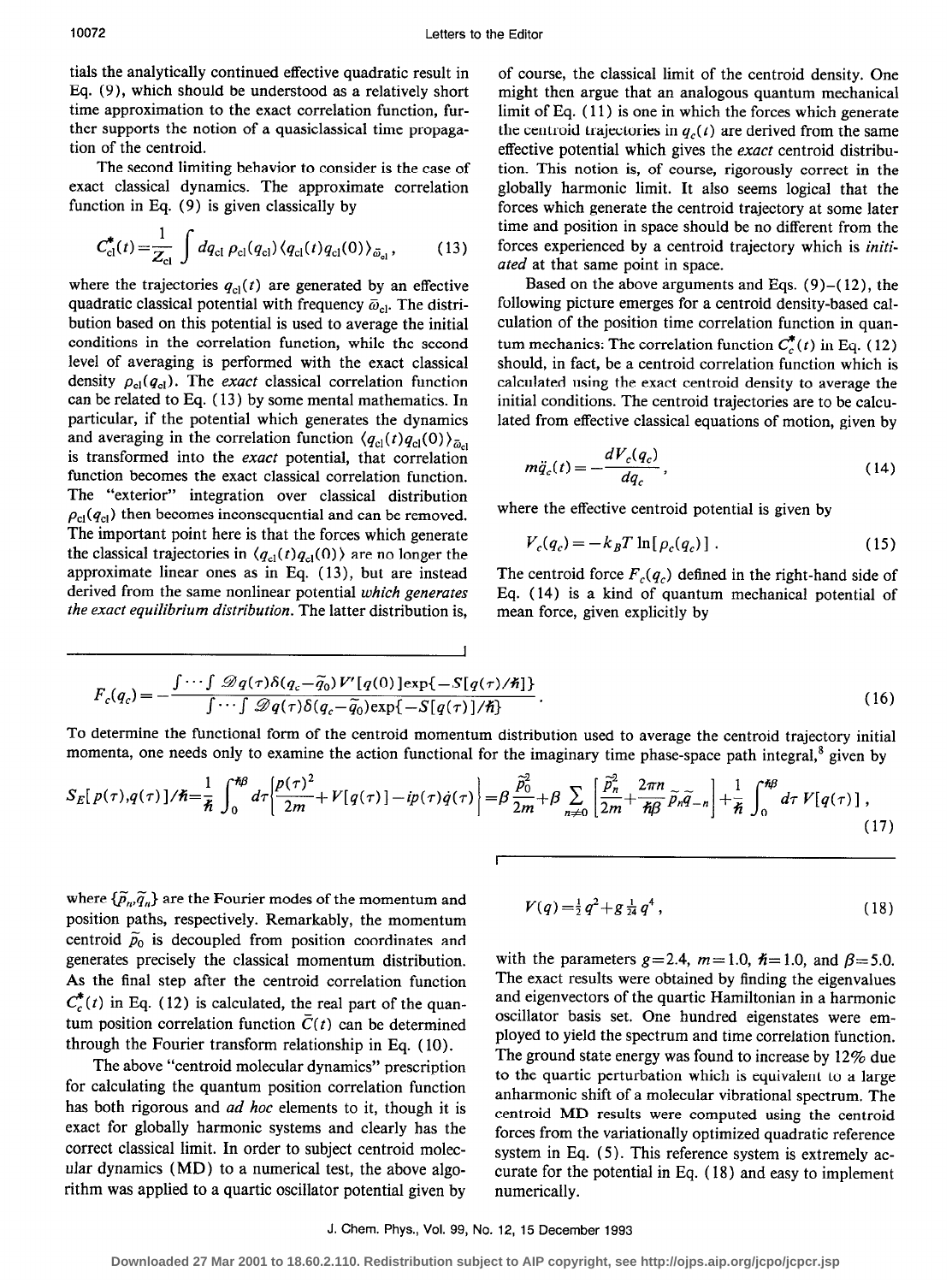tials the analytically continued effective quadratic result in Eq. (9)) which should be understood as a relatively short time approximation to the exact correlation function, further supports the notion of a quasiclassical time propagation of the centroid.

The second limiting behavior to consider is the case of exact classical dynamics. The approximate correlation function in Eq. (9) is given classically by

$$
C_{\rm cl}^*(t) = \frac{1}{Z_{\rm cl}} \int dq_{\rm cl} \, \rho_{\rm cl}(q_{\rm cl}) \, \langle q_{\rm cl}(t) q_{\rm cl}(0) \rangle_{\bar{\omega}_{\rm cl}},\tag{13}
$$

where the trajectories  $q_{cl}(t)$  are generated by an effective quadratic classical potential with frequency  $\bar{\omega}_{\text{cl}}$ . The distribution based on this potential is used to average the initial conditions in the correlation function, while the second level of averaging is performed with the exact classical density  $\rho_{cl}(q_{cl})$ . The *exact* classical correlation function can be related to Eq. ( 13) by some mental mathematics. In particular, if the potential which generates the dynamics and averaging in the correlation function  $\langle q_{\rm cl}(t) q_{\rm cl}(0) \rangle_{\bar{\omega}_{c}}$ is transformed into the exact potential, that correlation function becomes the exact classical correlation function. The "exterior" integration over classical distribution  $\rho_{\text{cl}}(q_{\text{cl}})$  then becomes inconsequential and can be removed. The important point here is that the forces which generate the classical trajectories in  $\langle q_{c1}(t)q_{c1}(0) \rangle$  are no longer the approximate linear ones as in Eq. (13), but are instead derived from the same nonlinear potential which generates the exact equilibrium distribution. The latter distribution is,

of course, the classical limit of the centroid density. One might then argue that an analogous quantum mechanical limit of Eq. ( 11) is one in which the forces which generate the centroid trajectories in  $q_c(t)$  are derived from the same effective potential which gives the *exact* centroid distribution. This notion is, of course, rigorously correct in the globally harmonic limit. It also seems logical that the forces which generate the centroid trajectory at some later time and position in space should be no different from the forces experienced by a centroid trajectory which is initiated at that same point in space.

Based on the above arguments and Eqs.  $(9)$  – $(12)$ , the following picture emerges for a centroid density-based calculation of the position time correlation function in quantum mechanics: The correlation function  $C_c^*(t)$  in Eq. (12) should, in fact, be a centroid correlation function which is calculated using the exact centroid density to average the initial conditions. The centroid trajectories are to be calculated from effective classical equations of motion, given by

$$
m\ddot{q}_c(t) = -\frac{dV_c(q_c)}{dq_c},\qquad(14)
$$

where the effective centroid potential is given by

$$
V_c(q_c) = -k_B T \ln[\rho_c(q_c)] \tag{15}
$$

The centroid force  $F_c(q_c)$  defined in the right-hand side of Eq. (14) is a kind of quantum mechanical potential of mean force, given explicitly by

$$
F_c(q_c) = -\frac{\int \cdots \int \mathcal{D}q(\tau)\delta(q_c - \widetilde{q}_0)V'[q(0)]\exp\{-S[q(\tau)/\hbar]\}}{\int \cdots \int \mathcal{D}q(\tau)\delta(q_c - \widetilde{q}_0)\exp\{-S[q(\tau)]/\hbar\}}.
$$
\n(16)

To determine the functional form of the centroid momentum distribution used to average the centroid trajectory initial momenta, one needs only to examine the action functional for the imaginary time phase-space path integral,<sup>8</sup> given by

I

$$
S_E[p(\tau), q(\tau)]/\hbar = \frac{1}{\hbar} \int_0^{\hbar \beta} d\tau \left[ \frac{p(\tau)^2}{2m} + V[q(\tau)] - ip(\tau) \dot{q}(\tau) \right] = \beta \frac{\tilde{p}_0^2}{2m} + \beta \sum_{n \neq 0} \left[ \frac{\tilde{p}_n^2}{2m} + \frac{2\pi n}{\hbar \beta} \tilde{p}_n \tilde{q}_{-n} \right] + \frac{1}{\hbar} \int_0^{\hbar \beta} d\tau V[q(\tau)] , \tag{17}
$$

 $\mathsf{\Gamma}$ 

where  $\{\widetilde{p}_n, \widetilde{q}_n\}$  are the Fourier modes of the momentum and position paths, respectively. Remarkably, the momentum centroid  $\tilde{p}_0$  is decoupled from position coordinates and generates precisely the classical momentum distribution. As the final step after the centroid correlation function  $C_c^*(t)$  in Eq. (12) is calculated, the real part of the quantum position correlation function  $\overline{C}(t)$  can be determined through the Fourier transform relationship in Eq. (10).

The above "centroid molecular dynamics" prescription for calculating the quantum position correlation function has both rigorous and *ad hoc* elements to it, though it is exact for globally harmonic systems and clearly has the correct classical limit. In order to subject centroid molecular dynamics (MD) to a numerical test, the above algorithm was applied to a quartic oscillator potential given by

$$
V(q) = \frac{1}{2}q^2 + g\frac{1}{24}q^4, \qquad (18)
$$

with the parameters  $g=2.4$ ,  $m=1.0$ ,  $\hbar=1.0$ , and  $\beta=5.0$ . The exact results were obtained by finding the eigenvalues and eigenvectors of the quartic Hamiltonian in a harmonic oscillator basis set. One hundred eigenstates were employed to yield the spectrum and time correlation function. The ground state energy was found to increase by 12% due to the quartic perturbation which is equivalent to a large anharmonic shift of a molecular vibrational spectrum. The centroid MD results were computed using the centroid forces from the variationally optimized quadratic reference system in Eq. ( 5). This reference system is extremely accurate for the potential in Eq. ( 18) and easy to implement numerically.